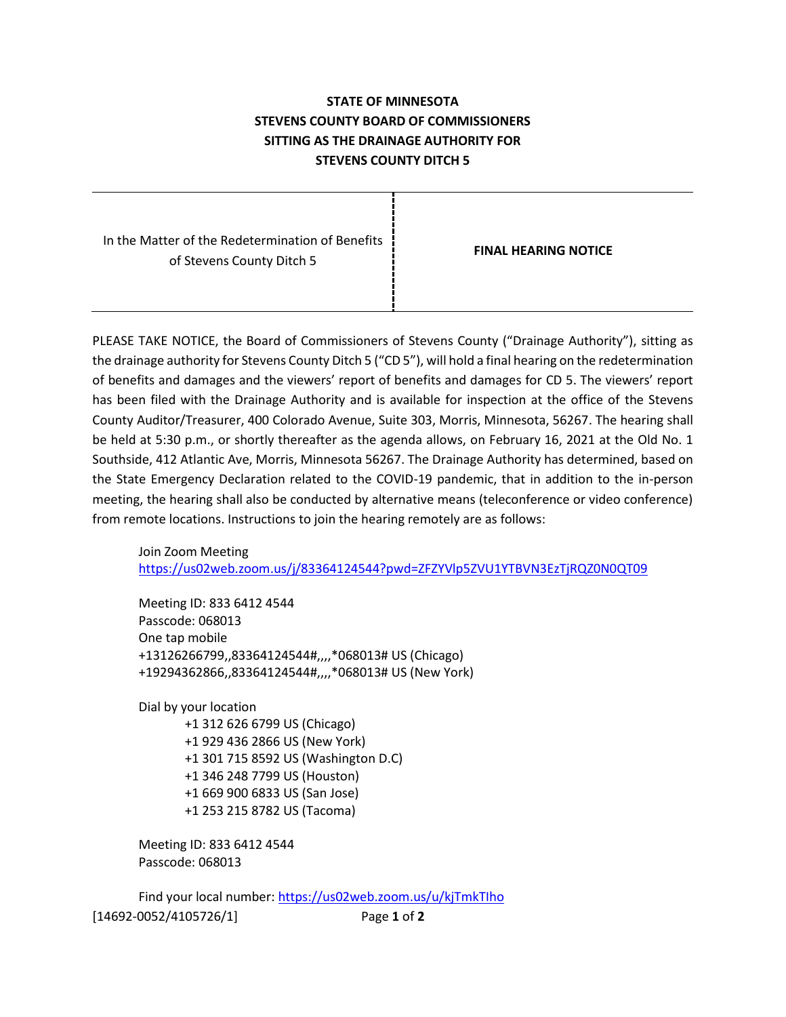## **STATE OF MINNESOTA STEVENS COUNTY BOARD OF COMMISSIONERS SITTING AS THE DRAINAGE AUTHORITY FOR STEVENS COUNTY DITCH 5**

In the Matter of the Redetermination of Benefits of Stevens County Ditch 5

**FINAL HEARING NOTICE**

PLEASE TAKE NOTICE, the Board of Commissioners of Stevens County ("Drainage Authority"), sitting as the drainage authority for Stevens County Ditch 5 ("CD 5"), will hold a final hearing on the redetermination of benefits and damages and the viewers' report of benefits and damages for CD 5. The viewers' report has been filed with the Drainage Authority and is available for inspection at the office of the Stevens County Auditor/Treasurer, 400 Colorado Avenue, Suite 303, Morris, Minnesota, 56267. The hearing shall be held at 5:30 p.m., or shortly thereafter as the agenda allows, on February 16, 2021 at the Old No. 1 Southside, 412 Atlantic Ave, Morris, Minnesota 56267. The Drainage Authority has determined, based on the State Emergency Declaration related to the COVID-19 pandemic, that in addition to the in-person meeting, the hearing shall also be conducted by alternative means (teleconference or video conference) from remote locations. Instructions to join the hearing remotely are as follows:

Join Zoom Meeting <https://us02web.zoom.us/j/83364124544?pwd=ZFZYVlp5ZVU1YTBVN3EzTjRQZ0N0QT09>

Meeting ID: 833 6412 4544 Passcode: 068013 One tap mobile +13126266799,,83364124544#,,,,\*068013# US (Chicago) +19294362866,,83364124544#,,,,\*068013# US (New York)

Dial by your location

 +1 312 626 6799 US (Chicago) +1 929 436 2866 US (New York) +1 301 715 8592 US (Washington D.C) +1 346 248 7799 US (Houston) +1 669 900 6833 US (San Jose) +1 253 215 8782 US (Tacoma)

Meeting ID: 833 6412 4544 Passcode: 068013

[14692-0052/4105726/1] Page **1** of **2** Find your local number[: https://us02web.zoom.us/u/kjTmkTIho](https://us02web.zoom.us/u/kjTmkTIho)